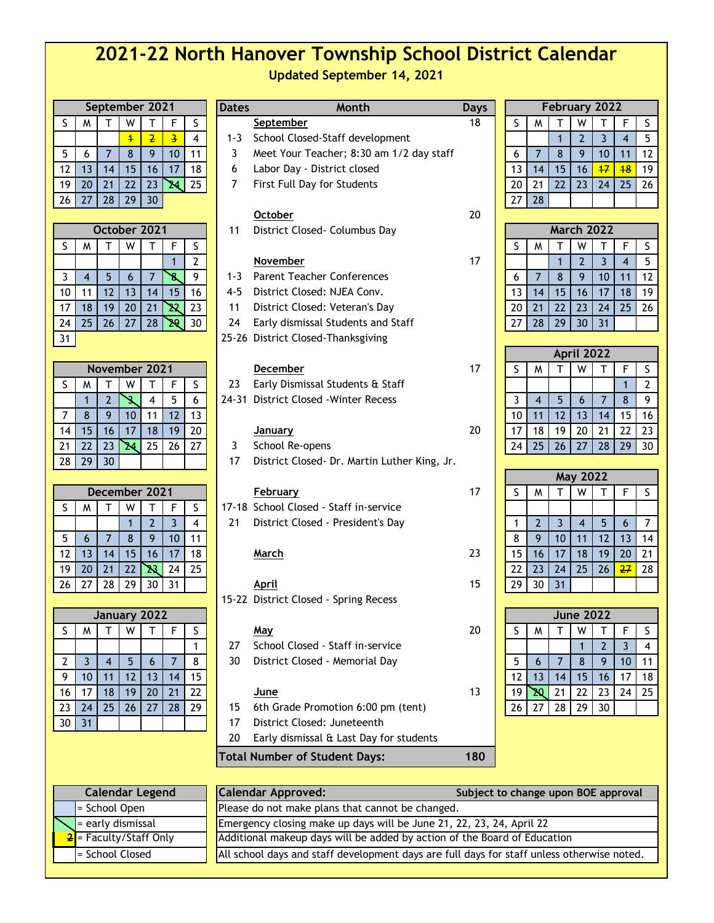# **2021-22 North Hanover Township School District Calendar Updated September 14, 2021**

| September 2021 |                |                |                |                |                         |                |  |  |  |
|----------------|----------------|----------------|----------------|----------------|-------------------------|----------------|--|--|--|
| S              | M              | T              | W              | т              | F                       | S              |  |  |  |
|                |                |                | $\overline{4}$ | $\overline{2}$ | $\overline{\mathbf{3}}$ | 4              |  |  |  |
| 5              | 6              | $\overline{7}$ | 8              | 9              | 10                      | 11             |  |  |  |
| 12             | 13             | 14             | 15             | 16             | 17                      | 18             |  |  |  |
| 19             | 20             | 21             | 22             | 23             | 24                      | 25             |  |  |  |
| 26             | 27             | 28             | 29             | 30             |                         |                |  |  |  |
|                |                |                |                |                |                         |                |  |  |  |
|                |                |                | October 2021   |                |                         |                |  |  |  |
| S              | M              | т              | W              |                | F                       | S              |  |  |  |
|                |                |                |                |                | 1                       | $\overline{2}$ |  |  |  |
| 3              | $\overline{4}$ | 5              | 6              | 7              | 8                       | 9              |  |  |  |
|                |                |                |                |                |                         |                |  |  |  |
| 10             | 11             | 12             | 13             | 14             | 15                      | 16             |  |  |  |

|    | November 2021 |                |    |    |    |    |  |  |  |  |
|----|---------------|----------------|----|----|----|----|--|--|--|--|
| S  | м             |                |    |    | F  | S  |  |  |  |  |
|    |               | $\overline{2}$ |    |    | 5  | 6  |  |  |  |  |
|    | 8             |                | 10 |    | 12 | 13 |  |  |  |  |
| 14 | 15            | 16             | 17 | 18 | 19 | 20 |  |  |  |  |
| 21 | 22            | 23             |    | 25 | 26 | 27 |  |  |  |  |
| 28 | 29            | 30             |    |    |    |    |  |  |  |  |

| December 2021 |    |    |    |    |    |    |  |  |
|---------------|----|----|----|----|----|----|--|--|
| S             | м  |    |    | F  | S  |    |  |  |
|               |    |    |    | 2  |    |    |  |  |
| 5             | 6  |    | 8  |    | 10 |    |  |  |
| 12            | 13 | 14 | 15 | 16 | 17 | 18 |  |  |
| 19            | 20 | 21 | 22 |    | 24 | 25 |  |  |
| 26            | 27 | 28 | 29 | 30 | 31 |    |  |  |

| January 2022   |    |    |    |    |    |    |  |  |  |
|----------------|----|----|----|----|----|----|--|--|--|
| S              | м  |    | w  |    | F  | S  |  |  |  |
|                |    |    |    |    |    |    |  |  |  |
| $\overline{2}$ | 3  | 4  | 5  | 6  |    | 8  |  |  |  |
| 9              | 10 | 11 | 12 | 13 | 14 | 15 |  |  |  |
| 16             | 17 | 18 | 19 | 20 | 21 | 22 |  |  |  |
| 23             | 24 | 25 | 26 | 27 | 28 | 29 |  |  |  |
| 30             | 31 |    |    |    |    |    |  |  |  |

|                |    |                | September 2021        |                 |                          |                | <b>Dates</b> | Month                                        | <b>Days</b>                         |                 |                |                   |                   | February 2022  |              |                |
|----------------|----|----------------|-----------------------|-----------------|--------------------------|----------------|--------------|----------------------------------------------|-------------------------------------|-----------------|----------------|-------------------|-------------------|----------------|--------------|----------------|
| S.             | M  | т              | W                     | т               | F                        | S              |              | September                                    | 18                                  | S               | M              | т                 | W                 | $\mathsf{T}$   | F            | $\sf S$        |
|                |    |                | $\overline{1}$        | $\overline{2}$  | $\overline{\mathbf{3}}$  | 4              | $1 - 3$      | School Closed-Staff development              |                                     |                 |                | $\mathbf{1}$      | $\overline{2}$    | $\overline{3}$ | 4            | 5              |
| 5              | 6  | $\overline{7}$ | 8                     | 9               | 10                       | 11             | 3            | Meet Your Teacher; 8:30 am 1/2 day staff     |                                     | 6               | $\overline{7}$ | 8                 | 9                 | 10             | 11           | 12             |
| 12             | 13 | 14             | 15                    | 16              | 17                       | 18             | 6            | Labor Day - District closed                  |                                     | 13              | 14             | 15                | 16                | $+7$           | 48           | 19             |
| 19             | 20 | 21             | 22                    | 23              | $\blacktriangleright$    | 25             | 7            | First Full Day for Students                  |                                     | 20              | 21             | 22                | 23                | 24             | 25           | 26             |
| 26             | 27 | 28             | 29                    | 30 <sup>°</sup> |                          |                |              |                                              |                                     | 27              | 28             |                   |                   |                |              |                |
|                |    |                |                       |                 |                          |                |              | <b>October</b>                               | 20                                  |                 |                |                   |                   |                |              |                |
|                |    |                | October 2021          |                 |                          |                | 11           | District Closed- Columbus Day                |                                     |                 |                | <b>March 2022</b> |                   |                |              |                |
| S              | M  | T              | W                     | T.              | F                        | S              |              |                                              |                                     | S               | M              | $\mathsf{T}$      | W                 | $\mathsf{T}$   | F            | $\sf S$        |
|                |    |                |                       |                 | $\mathbf{1}$             | $\overline{2}$ |              | <b>November</b>                              | 17                                  |                 |                | $\mathbf{1}$      | $\overline{2}$    | $\overline{3}$ | 4            | 5              |
| 3              | 4  | 5              | 6                     | $\overline{7}$  | $\overline{\mathcal{S}}$ | 9              | $1 - 3$      | <b>Parent Teacher Conferences</b>            |                                     | 6               | $\overline{7}$ | 8                 | 9                 | 10             | 11           | 12             |
| 10             | 11 | 12             | 13                    | 14              | 15                       | 16             | $4 - 5$      | District Closed: NJEA Conv.                  |                                     | 13              | 14             | 15                | 16                | 17             | 18           | 19             |
| 17             | 18 | 19             | 20                    | 21              | ক্ষ                      | 23             | 11           | District Closed: Veteran's Day               |                                     | 20              | 21             | 22                | 23                | 24             | 25           | 26             |
| 24             | 25 | 26             | 27                    | 28              | <b>PS</b>                | 30             | 24           | Early dismissal Students and Staff           |                                     | 27              | 28             | 29                | 30                | 31             |              |                |
| 31             |    |                |                       |                 |                          |                |              | 25-26 District Closed-Thanksgiving           |                                     |                 |                |                   |                   |                |              |                |
|                |    |                |                       |                 |                          |                |              |                                              |                                     |                 |                |                   | <b>April 2022</b> |                |              |                |
|                |    |                | November 2021         |                 |                          |                |              | <b>December</b>                              | 17                                  | S               | M              | $\mathsf{T}$      | W                 | T              | F            | $\sf S$        |
| S.             | M  | Т              | W                     | T               | F                        | S              | 23           | Early Dismissal Students & Staff             |                                     |                 |                |                   |                   |                | $\mathbf{1}$ | $\overline{2}$ |
|                | 1  | $\overline{2}$ | Š.                    | $\overline{4}$  | 5                        | 6              | 24-31        | <b>District Closed - Winter Recess</b>       |                                     | 3               | $\overline{4}$ | 5                 | 6                 | $\overline{7}$ | 8            | 9              |
| 7              | 8  | 9              | 10                    | 11              | 12                       | 13             |              |                                              |                                     | 10              | 11             | 12                | 13                | 14             | 15           | 16             |
| 14             | 15 | 16             | 17                    | 18              | 19                       | 20             |              | <u>January</u>                               | 20                                  | 17              | 18             | 19                | 20                | 21             | 22           | 23             |
| 21             | 22 | 23             | $\blacktriangleright$ | 25              | 26                       | 27             | 3            | School Re-opens                              |                                     | 24              | 25             | 26                | 27                | 28             | 29           | 30             |
| 28             | 29 | 30             |                       |                 |                          |                | 17           | District Closed- Dr. Martin Luther King, Jr. |                                     |                 |                |                   |                   |                |              |                |
|                |    |                |                       |                 |                          |                |              |                                              |                                     | <b>May 2022</b> |                |                   |                   |                |              |                |
|                |    |                | December 2021         |                 |                          |                |              | <b>February</b>                              | 17                                  | S               | M              | T.                | W                 | $\mathsf{T}$   | F            | $\sf S$        |
| S.             | M  | T              | W                     | T               | F                        | S              |              | 17-18 School Closed - Staff in-service       |                                     |                 |                |                   |                   |                |              |                |
|                |    |                | $\mathbf{1}$          | $\overline{2}$  | $\overline{3}$           | $\overline{4}$ | 21           | District Closed - President's Day            |                                     | 1               | $\overline{2}$ | $\overline{3}$    | $\overline{4}$    | 5              | 6            | $\overline{7}$ |
| 5              | 6  | $\overline{7}$ | 8                     | 9               | 10                       | 11             |              |                                              |                                     | 8               | 9              | 10                | 11                | 12             | 13           | 14             |
| 12             | 13 | 14             | 15                    | 16              | 17                       | 18             |              | March                                        | 23                                  | 15              | 16             | 17                | 18                | 19             | 20           | 21             |
| 19             | 20 | 21             | 22                    | ৰ্শ্ব           | 24                       | 25             |              |                                              |                                     | 22              | 23             | 24                | 25                | 26             | 27           | 28             |
| 26             | 27 | 28             | 29                    | 30              | 31                       |                |              | April                                        | 15                                  | 29              | 30             | 31                |                   |                |              |                |
|                |    |                |                       |                 |                          |                |              | 15-22 District Closed - Spring Recess        |                                     |                 |                |                   |                   |                |              |                |
|                |    |                | January 2022          |                 |                          |                |              |                                              |                                     |                 |                |                   | <b>June 2022</b>  |                |              |                |
| S.             | M  | т              | W                     | $\mathsf T$     | F                        | S              |              | <u>May</u>                                   | 20                                  | S               | M              | T                 | W                 | $\mathsf{T}$   | F            | S              |
|                |    |                |                       |                 |                          | 1              | 27           | School Closed - Staff in-service             |                                     |                 |                |                   | $\mathbf{1}$      | $\overline{2}$ | 3            | 4              |
| $\overline{2}$ | 3  | $\overline{4}$ | 5                     | 6               | $\overline{7}$           | 8              | 30           | District Closed - Memorial Day               |                                     | 5               | 6              | $\overline{7}$    | 8                 | 9              | 10           | 11             |
| 9              | 10 | 11             | 12                    | 13              | 14                       | 15             |              |                                              |                                     | 12              | 13             | 14                | 15                | 16             | 17           | 18             |
| 16             | 17 | 18             | 19                    | 20              | 21                       | 22             |              | June                                         | 13                                  | 19              | R              | 21                | 22                | 23             | 24           | 25             |
| 23             | 24 | 25             | 26                    | 27              | 28                       | 29             | 15           | 6th Grade Promotion 6:00 pm (tent)           |                                     | 26              | 27             | 28                | 29                | 30             |              |                |
| 30             | 31 |                |                       |                 |                          |                | 17           | District Closed: Juneteenth                  |                                     |                 |                |                   |                   |                |              |                |
|                |    |                |                       |                 |                          |                | 20           | Early dismissal & Last Day for students      |                                     |                 |                |                   |                   |                |              |                |
|                |    |                |                       |                 |                          |                |              | <b>Total Number of Student Days:</b>         | 180                                 |                 |                |                   |                   |                |              |                |
|                |    |                |                       |                 |                          |                |              |                                              |                                     |                 |                |                   |                   |                |              |                |
|                |    |                | Calendar Legend       |                 |                          |                |              | Calendar Approved:                           | Subject to change upon BOF approval |                 |                |                   |                   |                |              |                |

| <b>Calendar Legend</b> |                          |  |  |  |  |  |  |
|------------------------|--------------------------|--|--|--|--|--|--|
|                        | = School Open            |  |  |  |  |  |  |
|                        | = early dismissal        |  |  |  |  |  |  |
|                        | $2$ = Faculty/Staff Only |  |  |  |  |  |  |
|                        | = School Closed          |  |  |  |  |  |  |

| <b>Calendar Legend</b>                   | <b>Calendar Approved:</b>                                                                  | Subject to change upon BOE approval |
|------------------------------------------|--------------------------------------------------------------------------------------------|-------------------------------------|
| $\blacksquare$ School Open               | Please do not make plans that cannot be changed.                                           |                                     |
| $\left  \cdot \right $ = early dismissal | Emergency closing make up days will be June 21, 22, 23, 24, April 22                       |                                     |
| <mark>2</mark> = Faculty/Staff Only      | Additional makeup days will be added by action of the Board of Education                   |                                     |
| $=$ School Closed                        | All school days and staff development days are full days for staff unless otherwise noted. |                                     |